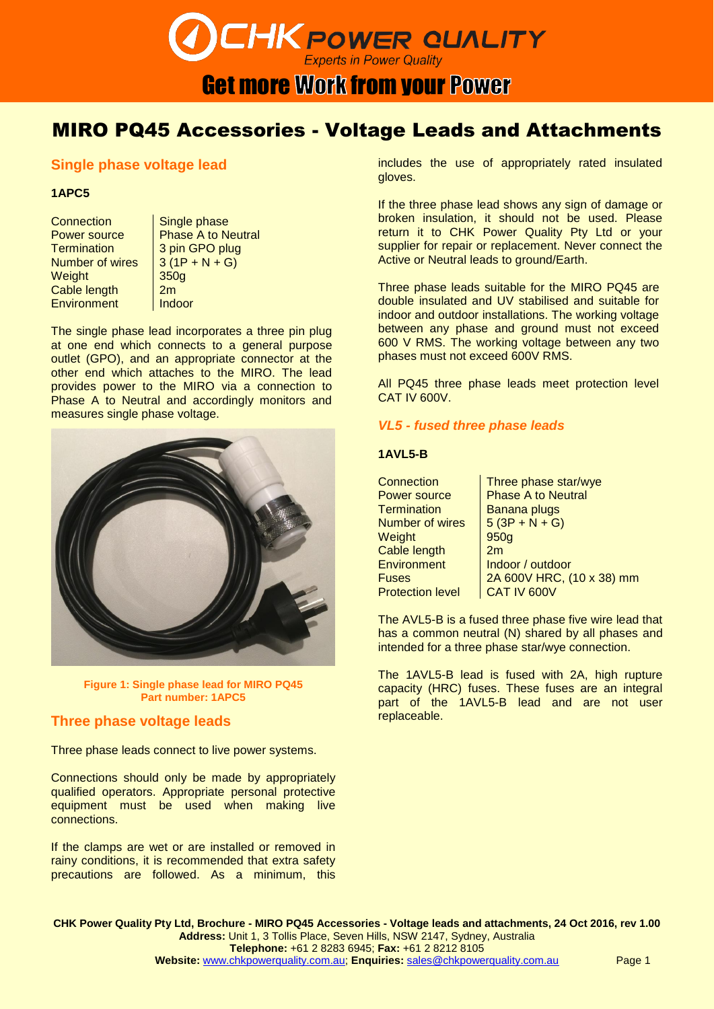## **CHK POWER QUALITY Get more Work from your Power**

### MIRO PQ45 Accessories - Voltage Leads and Attachments

### **Single phase voltage lead**

#### **1APC5**

Connection | Single phase Number of wires  $\left| \frac{3(1P + N + G)}{2} \right|$ Weight 350g Cable length 2m Environment Indoor

Power source Phase A to Neutral<br>
Termination 3 pin GPO plug 3 pin GPO plug

The single phase lead incorporates a three pin plug at one end which connects to a general purpose outlet (GPO), and an appropriate connector at the other end which attaches to the MIRO. The lead provides power to the MIRO via a connection to Phase A to Neutral and accordingly monitors and measures single phase voltage.



**Figure 1: Single phase lead for MIRO PQ45 Part number: 1APC5**

### **Three phase voltage leads**

Three phase leads connect to live power systems.

Connections should only be made by appropriately qualified operators. Appropriate personal protective equipment must be used when making live connections.

If the clamps are wet or are installed or removed in rainy conditions, it is recommended that extra safety precautions are followed. As a minimum, this

includes the use of appropriately rated insulated gloves.

If the three phase lead shows any sign of damage or broken insulation, it should not be used. Please return it to CHK Power Quality Pty Ltd or your supplier for repair or replacement. Never connect the Active or Neutral leads to ground/Earth.

Three phase leads suitable for the MIRO PQ45 are double insulated and UV stabilised and suitable for indoor and outdoor installations. The working voltage between any phase and ground must not exceed 600 V RMS. The working voltage between any two phases must not exceed 600V RMS.

All PQ45 three phase leads meet protection level CAT IV 600V.

### *VL5 - fused three phase leads*

#### **1AVL5-B**

Connection | Three phase star/wye Power source | Phase A to Neutral Termination | Banana plugs Number of wires  $\left[ 5 (3P + N + G) \right]$ Weight 950g Cable length | 2m Environment | Indoor / outdoor Fuses 2A 600V HRC, (10 x 38) mm Protection level | CAT IV 600V

The AVL5-B is a fused three phase five wire lead that has a common neutral (N) shared by all phases and intended for a three phase star/wye connection.

The 1AVL5-B lead is fused with 2A, high rupture capacity (HRC) fuses. These fuses are an integral part of the 1AVL5-B lead and are not user replaceable.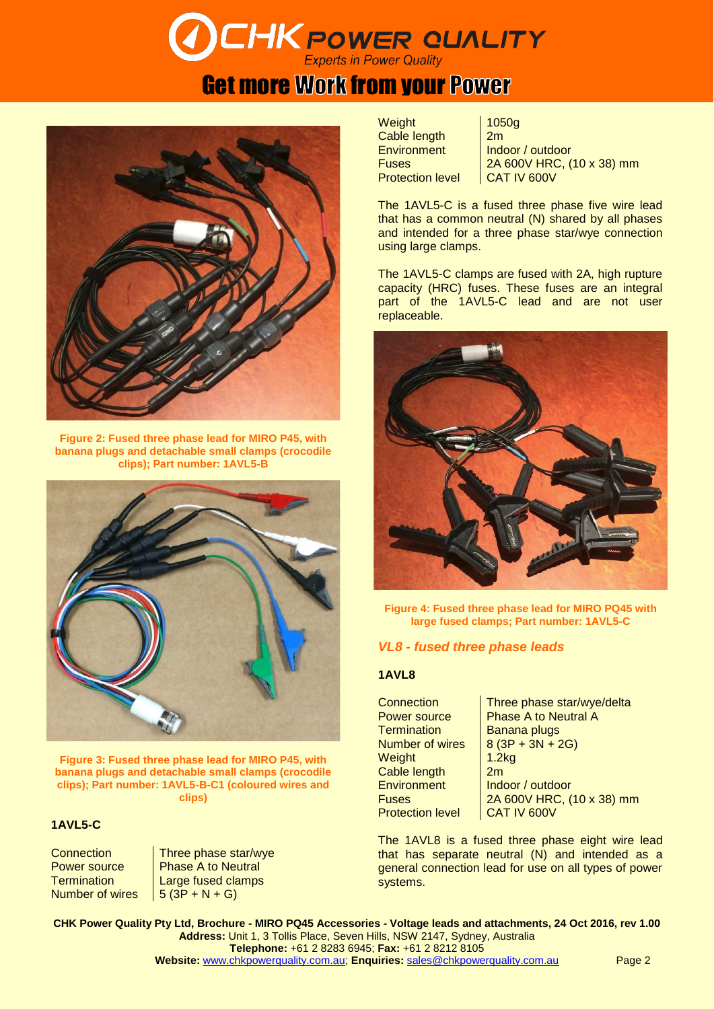# **CHK POWER QUALITY**

### **Get more Work from your Power**



**Figure 2: Fused three phase lead for MIRO P45, with banana plugs and detachable small clamps (crocodile clips); Part number: 1AVL5-B**



**Figure 3: Fused three phase lead for MIRO P45, with banana plugs and detachable small clamps (crocodile clips); Part number: 1AVL5-B-C1 (coloured wires and clips)**

### **1AVL5-C**

Number of wires  $\left| \begin{array}{cc} 5 & (3P + N + G) \end{array} \right|$ 

Connection | Three phase star/wye Power source Phase A to Neutral Termination | Large fused clamps

Weight 1050g Cable length | 2m **Protection level** 

Environment | Indoor / outdoor Fuses  $2A 600V$  HRC,  $(10 x 38)$  mm<br>Protection level  $2A + B = 2A$ 

The 1AVL5-C is a fused three phase five wire lead that has a common neutral (N) shared by all phases and intended for a three phase star/wye connection using large clamps.

The 1AVL5-C clamps are fused with 2A, high rupture capacity (HRC) fuses. These fuses are an integral part of the 1AVL5-C lead and are not user replaceable.



**Figure 4: Fused three phase lead for MIRO PQ45 with large fused clamps; Part number: 1AVL5-C**

### *VL8 - fused three phase leads*

### **1AVL8**

Connection **Three phase star/wye/delta** Power source **Phase A to Neutral A** Termination Banana plugs Number of wires  $\begin{array}{|c|c|} 8 & (3P + 3N + 2G) \end{array}$ Weight 1.2kg Cable length 2m Environment | Indoor / outdoor Protection level | CAT IV 600V

Fuses 2A 600V HRC, (10 x 38) mm

The 1AVL8 is a fused three phase eight wire lead that has separate neutral (N) and intended as a general connection lead for use on all types of power systems.

**CHK Power Quality Pty Ltd, Brochure - MIRO PQ45 Accessories - Voltage leads and attachments, 24 Oct 2016, rev 1.00 Address:** Unit 1, 3 Tollis Place, Seven Hills, NSW 2147, Sydney, Australia **Telephone:** +61 2 8283 6945; **Fax:** +61 2 8212 8105 **Website:** [www.chkpowerquality.com.au;](http://www.chkpowerquality.com.au/) **Enquiries:** [sales@chkpowerquality.com.au](mailto:sales@chkpowerquality.com.au) Page 2